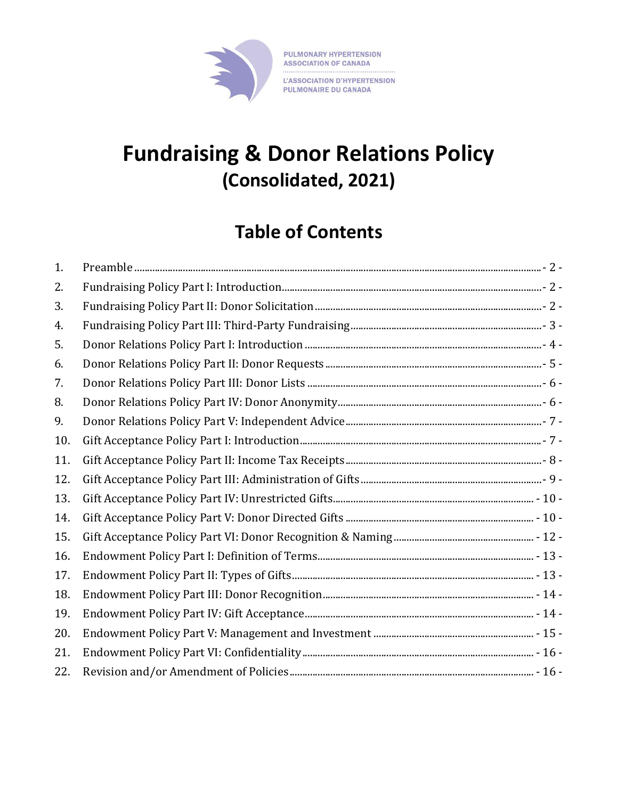

# **Fundraising & Donor Relations Policy (Consolidated, 2021)**

## **Table of Contents**

| 1.  |  |
|-----|--|
| 2.  |  |
| 3.  |  |
| 4.  |  |
| 5.  |  |
| 6.  |  |
| 7.  |  |
| 8.  |  |
| 9.  |  |
| 10. |  |
| 11. |  |
| 12. |  |
| 13. |  |
| 14. |  |
| 15. |  |
| 16. |  |
| 17. |  |
| 18. |  |
| 19. |  |
| 20. |  |
| 21. |  |
| 22. |  |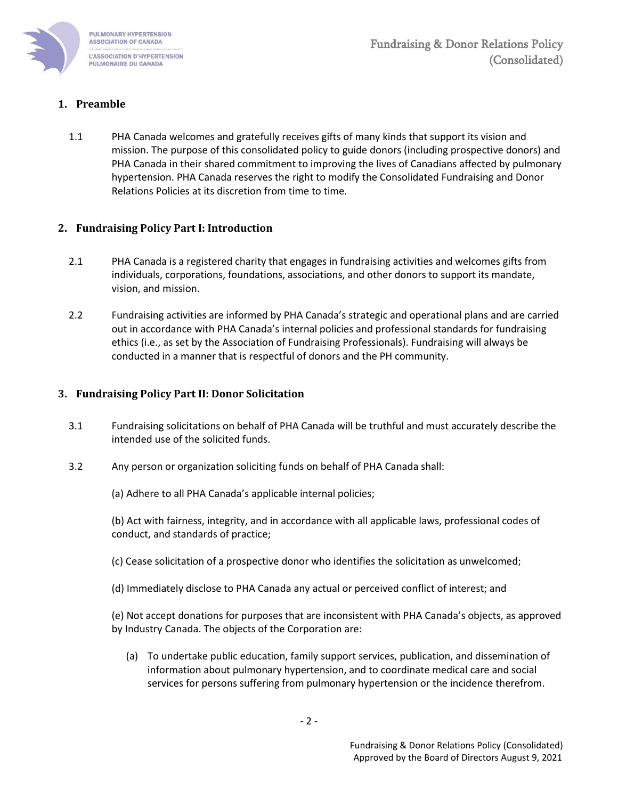

## <span id="page-1-0"></span>**1. Preamble**

1.1 PHA Canada welcomes and gratefully receives gifts of many kinds that support its vision and mission. The purpose of this consolidated policy to guide donors (including prospective donors) and PHA Canada in their shared commitment to improving the lives of Canadians affected by pulmonary hypertension. PHA Canada reserves the right to modify the Consolidated Fundraising and Donor Relations Policies at its discretion from time to time.

## <span id="page-1-1"></span>**2. Fundraising Policy Part I: Introduction**

- 2.1 PHA Canada is a registered charity that engages in fundraising activities and welcomes gifts from individuals, corporations, foundations, associations, and other donors to support its mandate, vision, and mission.
- 2.2 Fundraising activities are informed by PHA Canada's strategic and operational plans and are carried out in accordance with PHA Canada's internal policies and professional standards for fundraising ethics (i.e., as set by the Association of Fundraising Professionals). Fundraising will always be conducted in a manner that is respectful of donors and the PH community.

## <span id="page-1-2"></span>**3. Fundraising Policy Part II: Donor Solicitation**

- 3.1 Fundraising solicitations on behalf of PHA Canada will be truthful and must accurately describe the intended use of the solicited funds.
- 3.2 Any person or organization soliciting funds on behalf of PHA Canada shall:

(a) Adhere to all PHA Canada's applicable internal policies;

(b) Act with fairness, integrity, and in accordance with all applicable laws, professional codes of conduct, and standards of practice;

- (c) Cease solicitation of a prospective donor who identifies the solicitation as unwelcomed;
- (d) Immediately disclose to PHA Canada any actual or perceived conflict of interest; and

(e) Not accept donations for purposes that are inconsistent with PHA Canada's objects, as approved by Industry Canada. The objects of the Corporation are:

(a) To undertake public education, family support services, publication, and dissemination of information about pulmonary hypertension, and to coordinate medical care and social services for persons suffering from pulmonary hypertension or the incidence therefrom.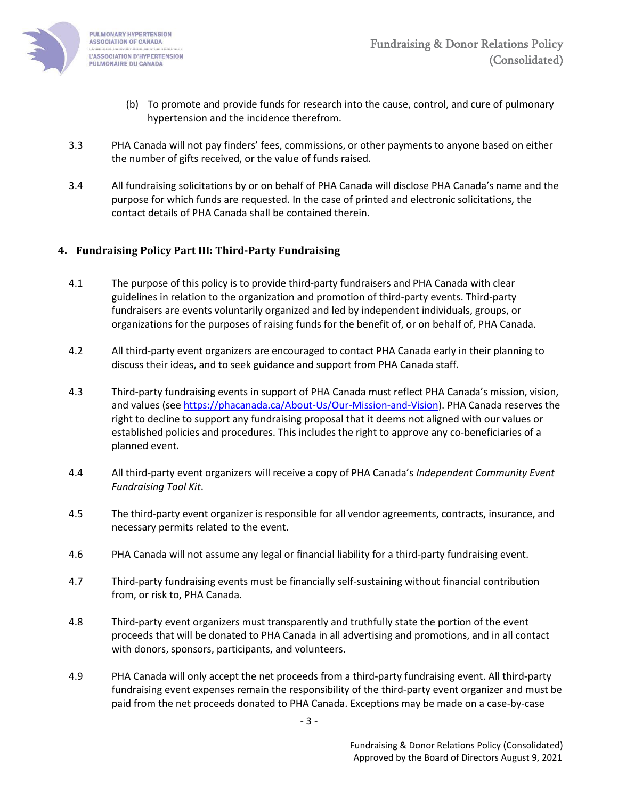

- (b) To promote and provide funds for research into the cause, control, and cure of pulmonary hypertension and the incidence therefrom.
- 3.3 PHA Canada will not pay finders' fees, commissions, or other payments to anyone based on either the number of gifts received, or the value of funds raised.
- 3.4 All fundraising solicitations by or on behalf of PHA Canada will disclose PHA Canada's name and the purpose for which funds are requested. In the case of printed and electronic solicitations, the contact details of PHA Canada shall be contained therein.

## <span id="page-2-0"></span>**4. Fundraising Policy Part III: Third-Party Fundraising**

- 4.1 The purpose of this policy is to provide third-party fundraisers and PHA Canada with clear guidelines in relation to the organization and promotion of third-party events. Third-party fundraisers are events voluntarily organized and led by independent individuals, groups, or organizations for the purposes of raising funds for the benefit of, or on behalf of, PHA Canada.
- 4.2 All third-party event organizers are encouraged to contact PHA Canada early in their planning to discuss their ideas, and to seek guidance and support from PHA Canada staff.
- 4.3 Third-party fundraising events in support of PHA Canada must reflect PHA Canada's mission, vision, and values (see [https://phacanada.ca/About-Us/Our-Mission-and-Vision\)](https://phacanada.ca/About-Us/Our-Mission-and-Vision). PHA Canada reserves the right to decline to support any fundraising proposal that it deems not aligned with our values or established policies and procedures. This includes the right to approve any co-beneficiaries of a planned event.
- 4.4 All third-party event organizers will receive a copy of PHA Canada's *Independent Community Event Fundraising Tool Kit*.
- 4.5 The third-party event organizer is responsible for all vendor agreements, contracts, insurance, and necessary permits related to the event.
- 4.6 PHA Canada will not assume any legal or financial liability for a third-party fundraising event.
- 4.7 Third-party fundraising events must be financially self-sustaining without financial contribution from, or risk to, PHA Canada.
- 4.8 Third-party event organizers must transparently and truthfully state the portion of the event proceeds that will be donated to PHA Canada in all advertising and promotions, and in all contact with donors, sponsors, participants, and volunteers.
- 4.9 PHA Canada will only accept the net proceeds from a third-party fundraising event. All third-party fundraising event expenses remain the responsibility of the third-party event organizer and must be paid from the net proceeds donated to PHA Canada. Exceptions may be made on a case-by-case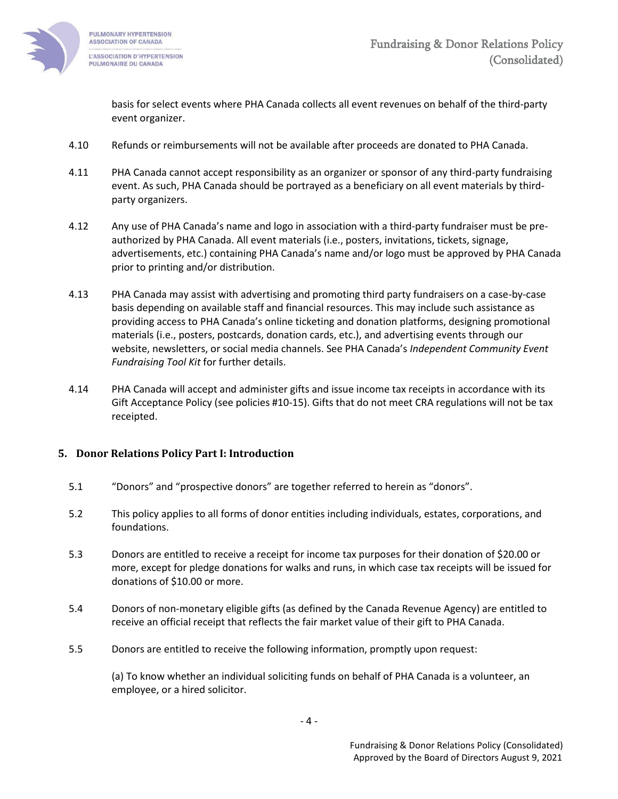

basis for select events where PHA Canada collects all event revenues on behalf of the third-party event organizer.

- 4.10 Refunds or reimbursements will not be available after proceeds are donated to PHA Canada.
- 4.11 PHA Canada cannot accept responsibility as an organizer or sponsor of any third-party fundraising event. As such, PHA Canada should be portrayed as a beneficiary on all event materials by thirdparty organizers.
- 4.12 Any use of PHA Canada's name and logo in association with a third-party fundraiser must be preauthorized by PHA Canada. All event materials (i.e., posters, invitations, tickets, signage, advertisements, etc.) containing PHA Canada's name and/or logo must be approved by PHA Canada prior to printing and/or distribution.
- 4.13 PHA Canada may assist with advertising and promoting third party fundraisers on a case-by-case basis depending on available staff and financial resources. This may include such assistance as providing access to PHA Canada's online ticketing and donation platforms, designing promotional materials (i.e., posters, postcards, donation cards, etc.), and advertising events through our website, newsletters, or social media channels. See PHA Canada's *Independent Community Event Fundraising Tool Kit* for further details.
- 4.14 PHA Canada will accept and administer gifts and issue income tax receipts in accordance with its Gift Acceptance Policy (see policies #10-15). Gifts that do not meet CRA regulations will not be tax receipted.

## <span id="page-3-0"></span>**5. Donor Relations Policy Part I: Introduction**

- 5.1 "Donors" and "prospective donors" are together referred to herein as "donors".
- 5.2 This policy applies to all forms of donor entities including individuals, estates, corporations, and foundations.
- 5.3 Donors are entitled to receive a receipt for income tax purposes for their donation of \$20.00 or more, except for pledge donations for walks and runs, in which case tax receipts will be issued for donations of \$10.00 or more.
- 5.4 Donors of non-monetary eligible gifts (as defined by the Canada Revenue Agency) are entitled to receive an official receipt that reflects the fair market value of their gift to PHA Canada.
- 5.5 Donors are entitled to receive the following information, promptly upon request:

(a) To know whether an individual soliciting funds on behalf of PHA Canada is a volunteer, an employee, or a hired solicitor.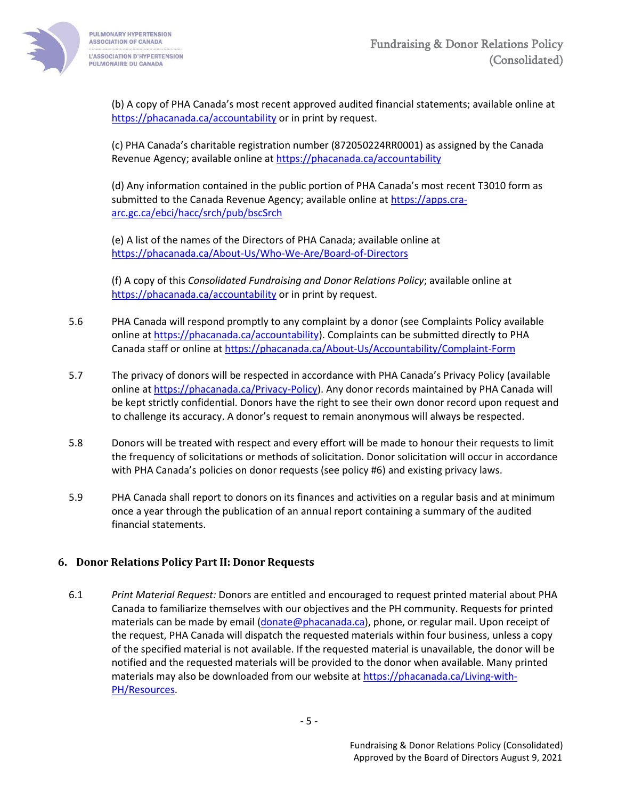

(b) A copy of PHA Canada's most recent approved audited financial statements; available online at <https://phacanada.ca/accountability> or in print by request.

(c) PHA Canada's charitable registration number (872050224RR0001) as assigned by the Canada Revenue Agency; available online at<https://phacanada.ca/accountability>

(d) Any information contained in the public portion of PHA Canada's most recent T3010 form as submitted to the Canada Revenue Agency; available online at [https://apps.cra](https://apps.cra-arc.gc.ca/ebci/hacc/srch/pub/bscSrch)[arc.gc.ca/ebci/hacc/srch/pub/bscSrch](https://apps.cra-arc.gc.ca/ebci/hacc/srch/pub/bscSrch)

(e) A list of the names of the Directors of PHA Canada; available online at <https://phacanada.ca/About-Us/Who-We-Are/Board-of-Directors>

(f) A copy of this *Consolidated Fundraising and Donor Relations Policy*; available online at <https://phacanada.ca/accountability> or in print by request.

- 5.6 PHA Canada will respond promptly to any complaint by a donor (see Complaints Policy available online a[t https://phacanada.ca/accountability\)](https://phacanada.ca/accountability). Complaints can be submitted directly to PHA Canada staff or online at<https://phacanada.ca/About-Us/Accountability/Complaint-Form>
- 5.7 The privacy of donors will be respected in accordance with PHA Canada's Privacy Policy (available online a[t https://phacanada.ca/Privacy-Policy\)](https://phacanada.ca/Privacy-Policy). Any donor records maintained by PHA Canada will be kept strictly confidential. Donors have the right to see their own donor record upon request and to challenge its accuracy. A donor's request to remain anonymous will always be respected.
- 5.8 Donors will be treated with respect and every effort will be made to honour their requests to limit the frequency of solicitations or methods of solicitation. Donor solicitation will occur in accordance with PHA Canada's policies on donor requests (see policy #6) and existing privacy laws.
- 5.9 PHA Canada shall report to donors on its finances and activities on a regular basis and at minimum once a year through the publication of an annual report containing a summary of the audited financial statements.

## <span id="page-4-0"></span>**6. Donor Relations Policy Part II: Donor Requests**

6.1 *Print Material Request:* Donors are entitled and encouraged to request printed material about PHA Canada to familiarize themselves with our objectives and the PH community. Requests for printed materials can be made by email [\(donate@phacanada.ca\)](mailto:donate@phacanada.ca), phone, or regular mail. Upon receipt of the request, PHA Canada will dispatch the requested materials within four business, unless a copy of the specified material is not available. If the requested material is unavailable, the donor will be notified and the requested materials will be provided to the donor when available. Many printed materials may also be downloaded from our website at [https://phacanada.ca/Living-with-](https://phacanada.ca/Living-with-PH/Resources)[PH/Resources.](https://phacanada.ca/Living-with-PH/Resources)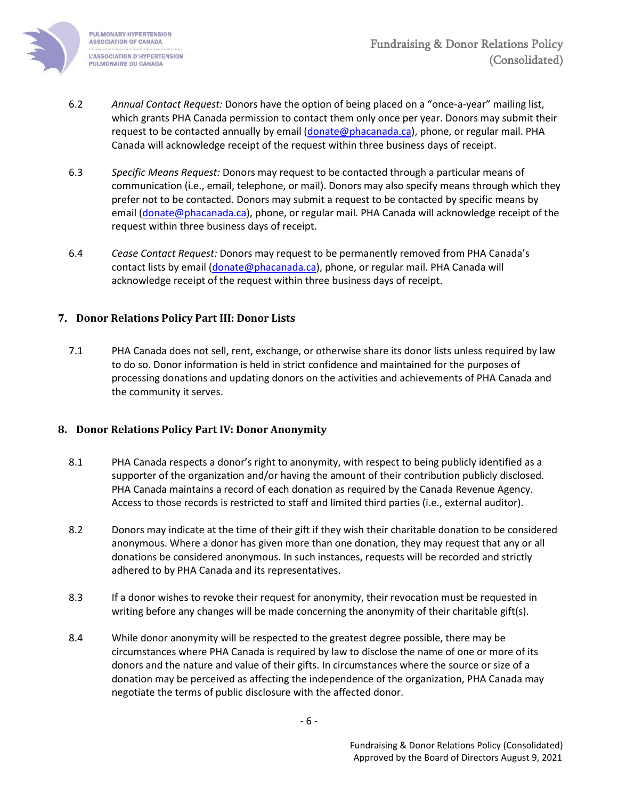

- 6.2 *Annual Contact Request:* Donors have the option of being placed on a "once-a-year" mailing list, which grants PHA Canada permission to contact them only once per year. Donors may submit their request to be contacted annually by email [\(donate@phacanada.ca\)](mailto:donate@phacanada.ca), phone, or regular mail. PHA Canada will acknowledge receipt of the request within three business days of receipt.
- 6.3 *Specific Means Request:* Donors may request to be contacted through a particular means of communication (i.e., email, telephone, or mail). Donors may also specify means through which they prefer not to be contacted. Donors may submit a request to be contacted by specific means by email [\(donate@phacanada.ca\)](mailto:donate@phacanada.ca), phone, or regular mail. PHA Canada will acknowledge receipt of the request within three business days of receipt.
- 6.4 *Cease Contact Request:* Donors may request to be permanently removed from PHA Canada's contact lists by email [\(donate@phacanada.ca\)](mailto:donate@phacanada.ca), phone, or regular mail. PHA Canada will acknowledge receipt of the request within three business days of receipt.

## <span id="page-5-0"></span>**7. Donor Relations Policy Part III: Donor Lists**

7.1 PHA Canada does not sell, rent, exchange, or otherwise share its donor lists unless required by law to do so. Donor information is held in strict confidence and maintained for the purposes of processing donations and updating donors on the activities and achievements of PHA Canada and the community it serves.

## <span id="page-5-1"></span>**8. Donor Relations Policy Part IV: Donor Anonymity**

- 8.1 PHA Canada respects a donor's right to anonymity, with respect to being publicly identified as a supporter of the organization and/or having the amount of their contribution publicly disclosed. PHA Canada maintains a record of each donation as required by the Canada Revenue Agency. Access to those records is restricted to staff and limited third parties (i.e., external auditor).
- 8.2 Donors may indicate at the time of their gift if they wish their charitable donation to be considered anonymous. Where a donor has given more than one donation, they may request that any or all donations be considered anonymous. In such instances, requests will be recorded and strictly adhered to by PHA Canada and its representatives.
- 8.3 If a donor wishes to revoke their request for anonymity, their revocation must be requested in writing before any changes will be made concerning the anonymity of their charitable gift(s).
- 8.4 While donor anonymity will be respected to the greatest degree possible, there may be circumstances where PHA Canada is required by law to disclose the name of one or more of its donors and the nature and value of their gifts. In circumstances where the source or size of a donation may be perceived as affecting the independence of the organization, PHA Canada may negotiate the terms of public disclosure with the affected donor.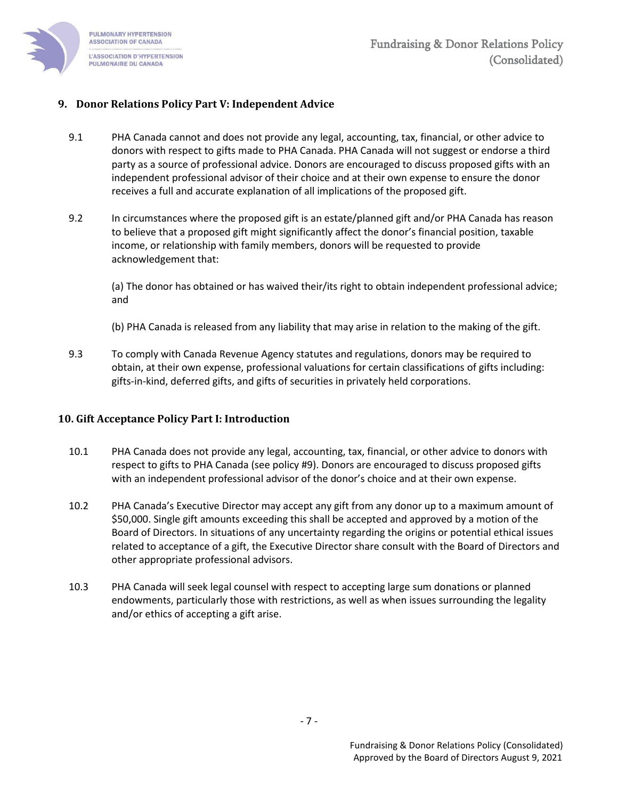

## <span id="page-6-0"></span>**9. Donor Relations Policy Part V: Independent Advice**

- 9.1 PHA Canada cannot and does not provide any legal, accounting, tax, financial, or other advice to donors with respect to gifts made to PHA Canada. PHA Canada will not suggest or endorse a third party as a source of professional advice. Donors are encouraged to discuss proposed gifts with an independent professional advisor of their choice and at their own expense to ensure the donor receives a full and accurate explanation of all implications of the proposed gift.
- 9.2 In circumstances where the proposed gift is an estate/planned gift and/or PHA Canada has reason to believe that a proposed gift might significantly affect the donor's financial position, taxable income, or relationship with family members, donors will be requested to provide acknowledgement that:

(a) The donor has obtained or has waived their/its right to obtain independent professional advice; and

(b) PHA Canada is released from any liability that may arise in relation to the making of the gift.

9.3 To comply with Canada Revenue Agency statutes and regulations, donors may be required to obtain, at their own expense, professional valuations for certain classifications of gifts including: gifts-in-kind, deferred gifts, and gifts of securities in privately held corporations.

#### <span id="page-6-1"></span>**10. Gift Acceptance Policy Part I: Introduction**

- 10.1 PHA Canada does not provide any legal, accounting, tax, financial, or other advice to donors with respect to gifts to PHA Canada (see policy #9). Donors are encouraged to discuss proposed gifts with an independent professional advisor of the donor's choice and at their own expense.
- 10.2 PHA Canada's Executive Director may accept any gift from any donor up to a maximum amount of \$50,000. Single gift amounts exceeding this shall be accepted and approved by a motion of the Board of Directors. In situations of any uncertainty regarding the origins or potential ethical issues related to acceptance of a gift, the Executive Director share consult with the Board of Directors and other appropriate professional advisors.
- 10.3 PHA Canada will seek legal counsel with respect to accepting large sum donations or planned endowments, particularly those with restrictions, as well as when issues surrounding the legality and/or ethics of accepting a gift arise.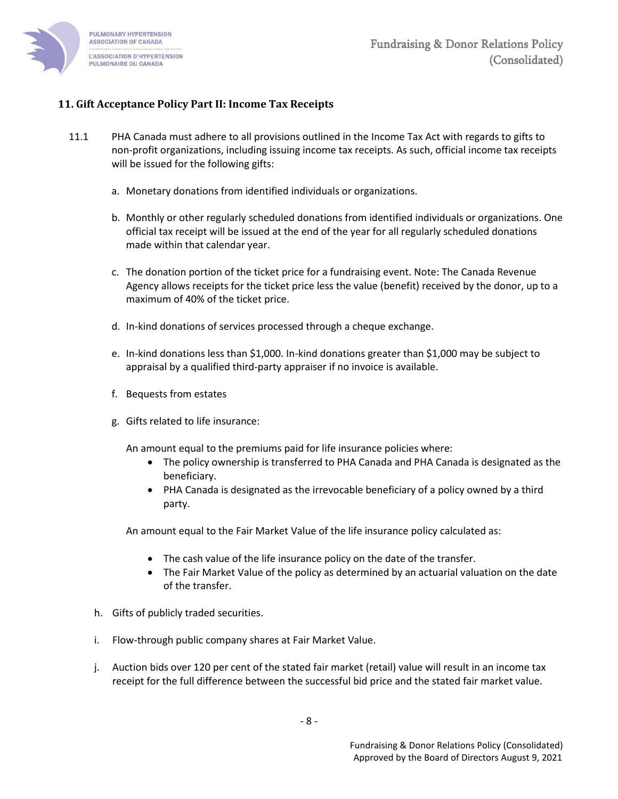

## <span id="page-7-0"></span>**11. Gift Acceptance Policy Part II: Income Tax Receipts**

- 11.1 PHA Canada must adhere to all provisions outlined in the Income Tax Act with regards to gifts to non-profit organizations, including issuing income tax receipts. As such, official income tax receipts will be issued for the following gifts:
	- a. Monetary donations from identified individuals or organizations.
	- b. Monthly or other regularly scheduled donations from identified individuals or organizations. One official tax receipt will be issued at the end of the year for all regularly scheduled donations made within that calendar year.
	- c. The donation portion of the ticket price for a fundraising event. Note: The Canada Revenue Agency allows receipts for the ticket price less the value (benefit) received by the donor, up to a maximum of 40% of the ticket price.
	- d. In-kind donations of services processed through a cheque exchange.
	- e. In-kind donations less than \$1,000. In-kind donations greater than \$1,000 may be subject to appraisal by a qualified third-party appraiser if no invoice is available.
	- f. Bequests from estates
	- g. Gifts related to life insurance:

An amount equal to the premiums paid for life insurance policies where:

- The policy ownership is transferred to PHA Canada and PHA Canada is designated as the beneficiary.
- PHA Canada is designated as the irrevocable beneficiary of a policy owned by a third party.

An amount equal to the Fair Market Value of the life insurance policy calculated as:

- The cash value of the life insurance policy on the date of the transfer.
- The Fair Market Value of the policy as determined by an actuarial valuation on the date of the transfer.
- h. Gifts of publicly traded securities.
- i. Flow-through public company shares at Fair Market Value.
- j. Auction bids over 120 per cent of the stated fair market (retail) value will result in an income tax receipt for the full difference between the successful bid price and the stated fair market value.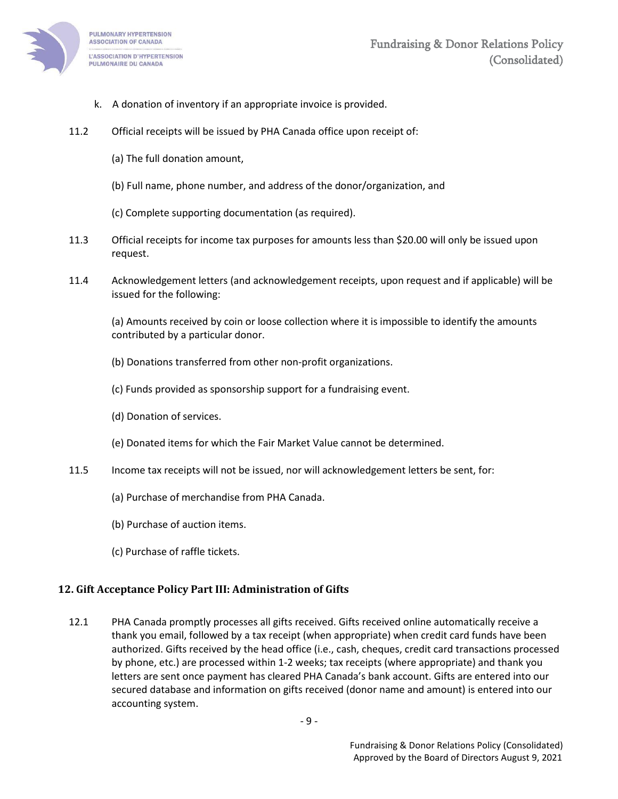

- k. A donation of inventory if an appropriate invoice is provided.
- 11.2 Official receipts will be issued by PHA Canada office upon receipt of:
	- (a) The full donation amount,
	- (b) Full name, phone number, and address of the donor/organization, and
	- (c) Complete supporting documentation (as required).
- 11.3 Official receipts for income tax purposes for amounts less than \$20.00 will only be issued upon request.
- 11.4 Acknowledgement letters (and acknowledgement receipts, upon request and if applicable) will be issued for the following:

(a) Amounts received by coin or loose collection where it is impossible to identify the amounts contributed by a particular donor.

- (b) Donations transferred from other non-profit organizations.
- (c) Funds provided as sponsorship support for a fundraising event.
- (d) Donation of services.
- (e) Donated items for which the Fair Market Value cannot be determined.
- 11.5 Income tax receipts will not be issued, nor will acknowledgement letters be sent, for:
	- (a) Purchase of merchandise from PHA Canada.
	- (b) Purchase of auction items.
	- (c) Purchase of raffle tickets.

#### <span id="page-8-0"></span>**12. Gift Acceptance Policy Part III: Administration of Gifts**

12.1 PHA Canada promptly processes all gifts received. Gifts received online automatically receive a thank you email, followed by a tax receipt (when appropriate) when credit card funds have been authorized. Gifts received by the head office (i.e., cash, cheques, credit card transactions processed by phone, etc.) are processed within 1-2 weeks; tax receipts (where appropriate) and thank you letters are sent once payment has cleared PHA Canada's bank account. Gifts are entered into our secured database and information on gifts received (donor name and amount) is entered into our accounting system.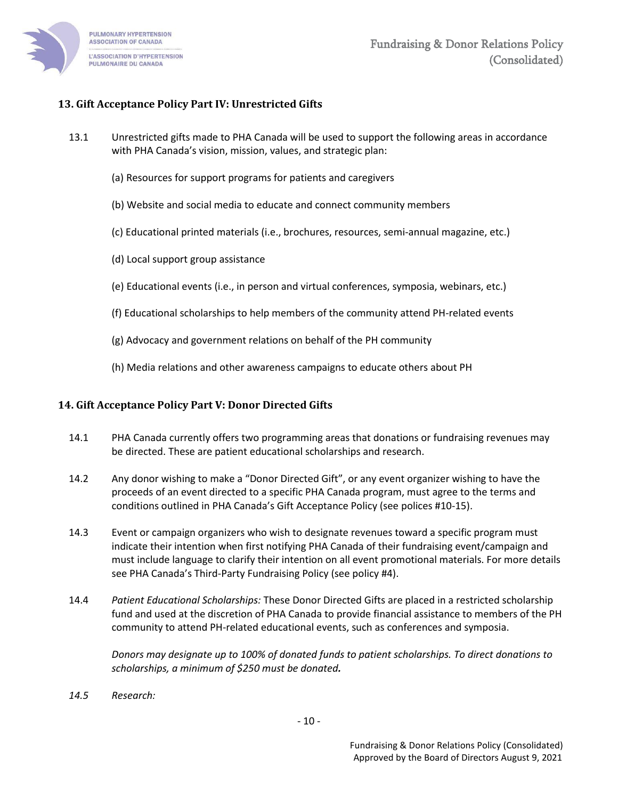

## <span id="page-9-0"></span>**13. Gift Acceptance Policy Part IV: Unrestricted Gifts**

- 13.1 Unrestricted gifts made to PHA Canada will be used to support the following areas in accordance with PHA Canada's vision, mission, values, and strategic plan:
	- (a) Resources for support programs for patients and caregivers
	- (b) Website and social media to educate and connect community members
	- (c) Educational printed materials (i.e., brochures, resources, semi-annual magazine, etc.)
	- (d) Local support group assistance
	- (e) Educational events (i.e., in person and virtual conferences, symposia, webinars, etc.)
	- (f) Educational scholarships to help members of the community attend PH-related events
	- (g) Advocacy and government relations on behalf of the PH community
	- (h) Media relations and other awareness campaigns to educate others about PH

#### <span id="page-9-1"></span>**14. Gift Acceptance Policy Part V: Donor Directed Gifts**

- 14.1 PHA Canada currently offers two programming areas that donations or fundraising revenues may be directed. These are patient educational scholarships and research.
- 14.2 Any donor wishing to make a "Donor Directed Gift", or any event organizer wishing to have the proceeds of an event directed to a specific PHA Canada program, must agree to the terms and conditions outlined in PHA Canada's Gift Acceptance Policy (see polices #10-15).
- 14.3 Event or campaign organizers who wish to designate revenues toward a specific program must indicate their intention when first notifying PHA Canada of their fundraising event/campaign and must include language to clarify their intention on all event promotional materials. For more details see PHA Canada's Third-Party Fundraising Policy (see policy #4).
- 14.4 *Patient Educational Scholarships:* These Donor Directed Gifts are placed in a restricted scholarship fund and used at the discretion of PHA Canada to provide financial assistance to members of the PH community to attend PH-related educational events, such as conferences and symposia.

*Donors may designate up to 100% of donated funds to patient scholarships. To direct donations to scholarships, a minimum of \$250 must be donated.*

*14.5 Research:*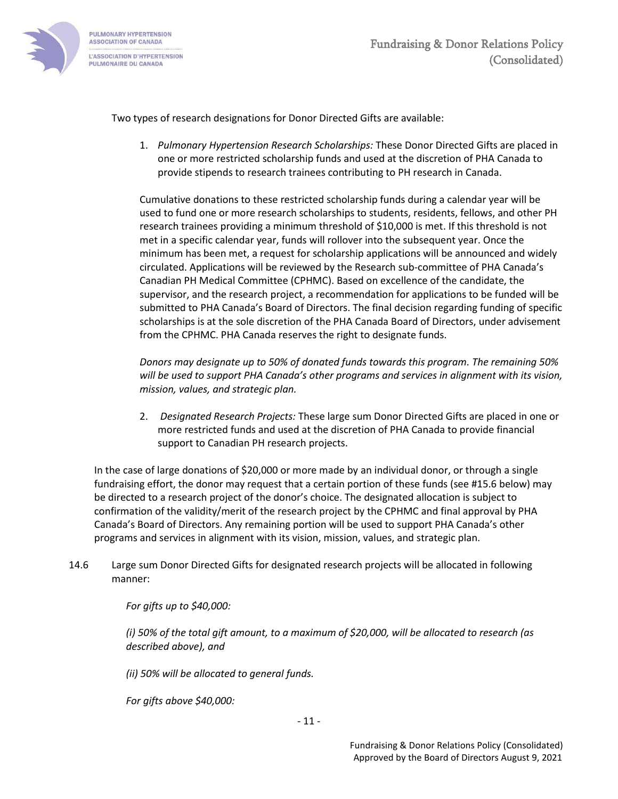

Two types of research designations for Donor Directed Gifts are available:

1. *Pulmonary Hypertension Research Scholarships:* These Donor Directed Gifts are placed in one or more restricted scholarship funds and used at the discretion of PHA Canada to provide stipends to research trainees contributing to PH research in Canada.

Cumulative donations to these restricted scholarship funds during a calendar year will be used to fund one or more research scholarships to students, residents, fellows, and other PH research trainees providing a minimum threshold of \$10,000 is met. If this threshold is not met in a specific calendar year, funds will rollover into the subsequent year. Once the minimum has been met, a request for scholarship applications will be announced and widely circulated. Applications will be reviewed by the Research sub-committee of PHA Canada's Canadian PH Medical Committee (CPHMC). Based on excellence of the candidate, the supervisor, and the research project, a recommendation for applications to be funded will be submitted to PHA Canada's Board of Directors. The final decision regarding funding of specific scholarships is at the sole discretion of the PHA Canada Board of Directors, under advisement from the CPHMC. PHA Canada reserves the right to designate funds.

*Donors may designate up to 50% of donated funds towards this program. The remaining 50% will be used to support PHA Canada's other programs and services in alignment with its vision, mission, values, and strategic plan.* 

2. *Designated Research Projects:* These large sum Donor Directed Gifts are placed in one or more restricted funds and used at the discretion of PHA Canada to provide financial support to Canadian PH research projects.

In the case of large donations of \$20,000 or more made by an individual donor, or through a single fundraising effort, the donor may request that a certain portion of these funds (see #15.6 below) may be directed to a research project of the donor's choice. The designated allocation is subject to confirmation of the validity/merit of the research project by the CPHMC and final approval by PHA Canada's Board of Directors. Any remaining portion will be used to support PHA Canada's other programs and services in alignment with its vision, mission, values, and strategic plan.

14.6 Large sum Donor Directed Gifts for designated research projects will be allocated in following manner:

*For gifts up to \$40,000:*

*(i) 50% of the total gift amount, to a maximum of \$20,000, will be allocated to research (as described above), and*

*(ii) 50% will be allocated to general funds.* 

*For gifts above \$40,000:*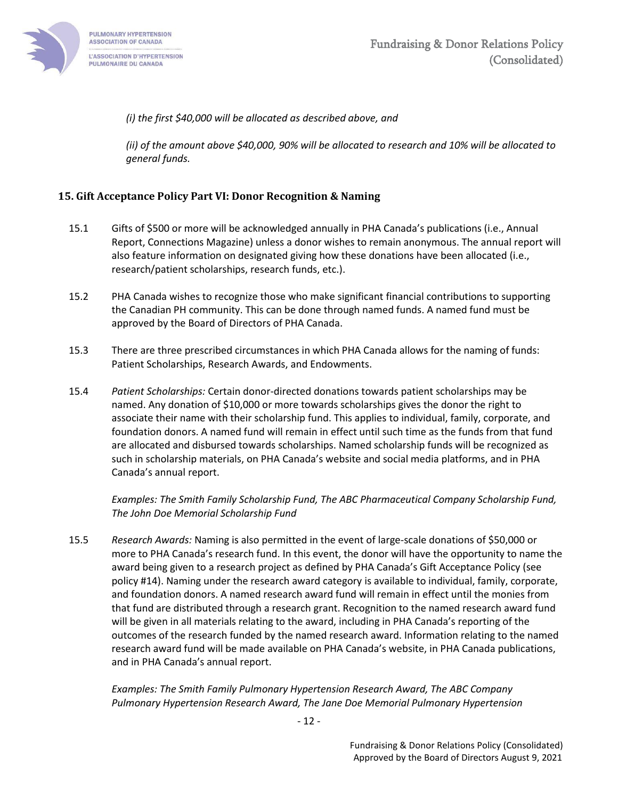

*(i) the first \$40,000 will be allocated as described above, and* 

*(ii) of the amount above \$40,000, 90% will be allocated to research and 10% will be allocated to general funds.*

## <span id="page-11-0"></span>**15. Gift Acceptance Policy Part VI: Donor Recognition & Naming**

- 15.1 Gifts of \$500 or more will be acknowledged annually in PHA Canada's publications (i.e., Annual Report, Connections Magazine) unless a donor wishes to remain anonymous. The annual report will also feature information on designated giving how these donations have been allocated (i.e., research/patient scholarships, research funds, etc.).
- 15.2 PHA Canada wishes to recognize those who make significant financial contributions to supporting the Canadian PH community. This can be done through named funds. A named fund must be approved by the Board of Directors of PHA Canada.
- 15.3 There are three prescribed circumstances in which PHA Canada allows for the naming of funds: Patient Scholarships, Research Awards, and Endowments.
- 15.4 *Patient Scholarships:* Certain donor-directed donations towards patient scholarships may be named. Any donation of \$10,000 or more towards scholarships gives the donor the right to associate their name with their scholarship fund. This applies to individual, family, corporate, and foundation donors. A named fund will remain in effect until such time as the funds from that fund are allocated and disbursed towards scholarships. Named scholarship funds will be recognized as such in scholarship materials, on PHA Canada's website and social media platforms, and in PHA Canada's annual report.

*Examples: The Smith Family Scholarship Fund, The ABC Pharmaceutical Company Scholarship Fund, The John Doe Memorial Scholarship Fund*

15.5 *Research Awards:* Naming is also permitted in the event of large-scale donations of \$50,000 or more to PHA Canada's research fund. In this event, the donor will have the opportunity to name the award being given to a research project as defined by PHA Canada's Gift Acceptance Policy (see policy #14). Naming under the research award category is available to individual, family, corporate, and foundation donors. A named research award fund will remain in effect until the monies from that fund are distributed through a research grant. Recognition to the named research award fund will be given in all materials relating to the award, including in PHA Canada's reporting of the outcomes of the research funded by the named research award. Information relating to the named research award fund will be made available on PHA Canada's website, in PHA Canada publications, and in PHA Canada's annual report.

*Examples: The Smith Family Pulmonary Hypertension Research Award, The ABC Company Pulmonary Hypertension Research Award, The Jane Doe Memorial Pulmonary Hypertension*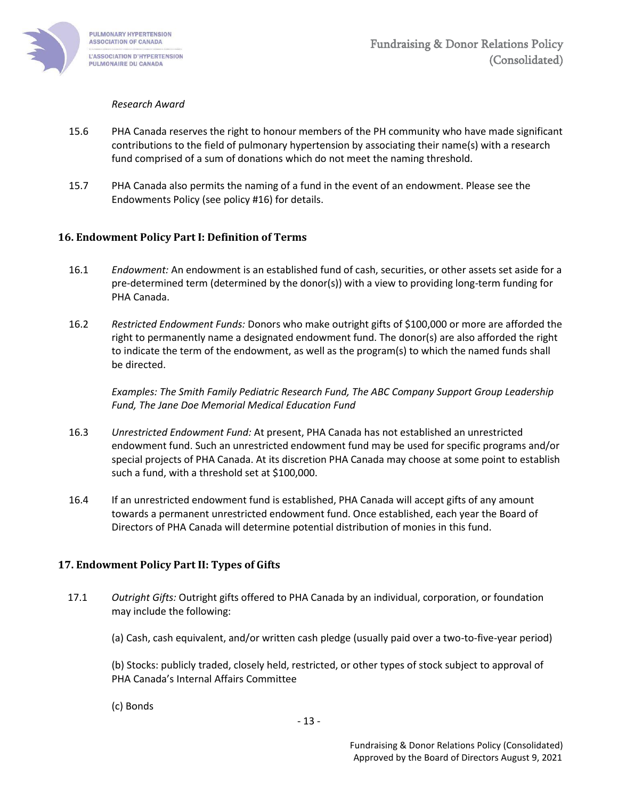

#### *Research Award*

- 15.6 PHA Canada reserves the right to honour members of the PH community who have made significant contributions to the field of pulmonary hypertension by associating their name(s) with a research fund comprised of a sum of donations which do not meet the naming threshold.
- 15.7 PHA Canada also permits the naming of a fund in the event of an endowment. Please see the Endowments Policy (see policy #16) for details.

#### <span id="page-12-0"></span>**16. Endowment Policy Part I: Definition of Terms**

- 16.1 *Endowment:* An endowment is an established fund of cash, securities, or other assets set aside for a pre-determined term (determined by the donor(s)) with a view to providing long-term funding for PHA Canada.
- 16.2 *Restricted Endowment Funds:* Donors who make outright gifts of \$100,000 or more are afforded the right to permanently name a designated endowment fund. The donor(s) are also afforded the right to indicate the term of the endowment, as well as the program(s) to which the named funds shall be directed.

*Examples: The Smith Family Pediatric Research Fund, The ABC Company Support Group Leadership Fund, The Jane Doe Memorial Medical Education Fund*

- 16.3 *Unrestricted Endowment Fund:* At present, PHA Canada has not established an unrestricted endowment fund. Such an unrestricted endowment fund may be used for specific programs and/or special projects of PHA Canada. At its discretion PHA Canada may choose at some point to establish such a fund, with a threshold set at \$100,000.
- 16.4 If an unrestricted endowment fund is established, PHA Canada will accept gifts of any amount towards a permanent unrestricted endowment fund. Once established, each year the Board of Directors of PHA Canada will determine potential distribution of monies in this fund.

#### <span id="page-12-1"></span>**17. Endowment Policy Part II: Types of Gifts**

- 17.1 *Outright Gifts:* Outright gifts offered to PHA Canada by an individual, corporation, or foundation may include the following:
	- (a) Cash, cash equivalent, and/or written cash pledge (usually paid over a two-to-five-year period)

(b) Stocks: publicly traded, closely held, restricted, or other types of stock subject to approval of PHA Canada's Internal Affairs Committee

(c) Bonds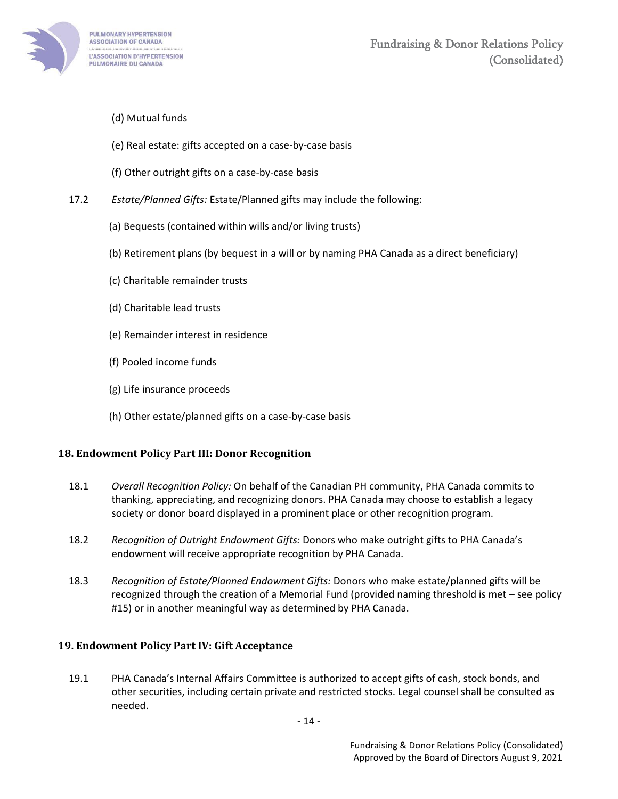

- (d) Mutual funds
- (e) Real estate: gifts accepted on a case-by-case basis
- (f) Other outright gifts on a case-by-case basis
- 17.2 *Estate/Planned Gifts:* Estate/Planned gifts may include the following:
	- (a) Bequests (contained within wills and/or living trusts)
	- (b) Retirement plans (by bequest in a will or by naming PHA Canada as a direct beneficiary)
	- (c) Charitable remainder trusts
	- (d) Charitable lead trusts
	- (e) Remainder interest in residence
	- (f) Pooled income funds
	- (g) Life insurance proceeds
	- (h) Other estate/planned gifts on a case-by-case basis

## <span id="page-13-0"></span>**18. Endowment Policy Part III: Donor Recognition**

- 18.1 *Overall Recognition Policy:* On behalf of the Canadian PH community, PHA Canada commits to thanking, appreciating, and recognizing donors. PHA Canada may choose to establish a legacy society or donor board displayed in a prominent place or other recognition program.
- 18.2 *Recognition of Outright Endowment Gifts:* Donors who make outright gifts to PHA Canada's endowment will receive appropriate recognition by PHA Canada.
- 18.3 *Recognition of Estate/Planned Endowment Gifts:* Donors who make estate/planned gifts will be recognized through the creation of a Memorial Fund (provided naming threshold is met – see policy #15) or in another meaningful way as determined by PHA Canada.

## <span id="page-13-1"></span>**19. Endowment Policy Part IV: Gift Acceptance**

19.1 PHA Canada's Internal Affairs Committee is authorized to accept gifts of cash, stock bonds, and other securities, including certain private and restricted stocks. Legal counsel shall be consulted as needed.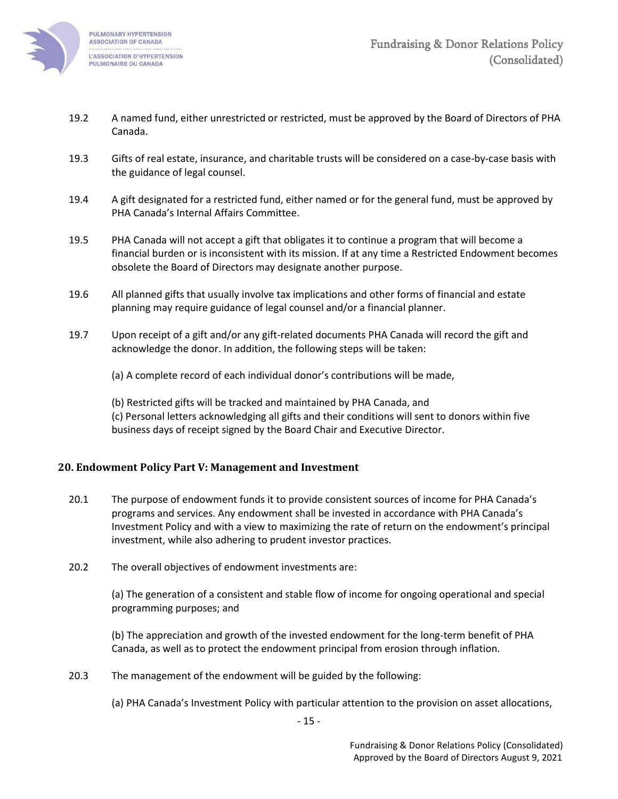

- 19.2 A named fund, either unrestricted or restricted, must be approved by the Board of Directors of PHA Canada.
- 19.3 Gifts of real estate, insurance, and charitable trusts will be considered on a case-by-case basis with the guidance of legal counsel.
- 19.4 A gift designated for a restricted fund, either named or for the general fund, must be approved by PHA Canada's Internal Affairs Committee.
- 19.5 PHA Canada will not accept a gift that obligates it to continue a program that will become a financial burden or is inconsistent with its mission. If at any time a Restricted Endowment becomes obsolete the Board of Directors may designate another purpose.
- 19.6 All planned gifts that usually involve tax implications and other forms of financial and estate planning may require guidance of legal counsel and/or a financial planner.
- 19.7 Upon receipt of a gift and/or any gift-related documents PHA Canada will record the gift and acknowledge the donor. In addition, the following steps will be taken:
	- (a) A complete record of each individual donor's contributions will be made,

(b) Restricted gifts will be tracked and maintained by PHA Canada, and (c) Personal letters acknowledging all gifts and their conditions will sent to donors within five business days of receipt signed by the Board Chair and Executive Director.

#### <span id="page-14-0"></span>**20. Endowment Policy Part V: Management and Investment**

- 20.1 The purpose of endowment funds it to provide consistent sources of income for PHA Canada's programs and services. Any endowment shall be invested in accordance with PHA Canada's Investment Policy and with a view to maximizing the rate of return on the endowment's principal investment, while also adhering to prudent investor practices.
- 20.2 The overall objectives of endowment investments are:

(a) The generation of a consistent and stable flow of income for ongoing operational and special programming purposes; and

(b) The appreciation and growth of the invested endowment for the long-term benefit of PHA Canada, as well as to protect the endowment principal from erosion through inflation.

20.3 The management of the endowment will be guided by the following:

(a) PHA Canada's Investment Policy with particular attention to the provision on asset allocations,